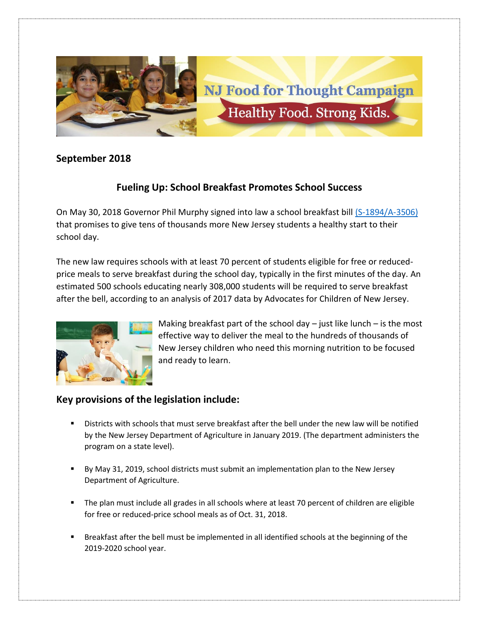

## **September 2018**

## **Fueling Up: School Breakfast Promotes School Success**

On May 30, 2018 Governor Phil Murphy signed into law a school breakfast bill [\(S-1894/A-3506\)](https://www.njleg.state.nj.us/2018/Bills/PL18/25_.PDF) that promises to give tens of thousands more New Jersey students a healthy start to their school day.

The new law requires schools with at least 70 percent of students eligible for free or reducedprice meals to serve breakfast during the school day, typically in the first minutes of the day. An estimated 500 schools educating nearly 308,000 students will be required to serve breakfast after the bell, according to an analysis of 2017 data by Advocates for Children of New Jersey.



Making breakfast part of the school day  $-$  just like lunch  $-$  is the most effective way to deliver the meal to the hundreds of thousands of New Jersey children who need this morning nutrition to be focused and ready to learn.

## **Key provisions of the legislation include:**

- Districts with schools that must serve breakfast after the bell under the new law will be notified by the New Jersey Department of Agriculture in January 2019. (The department administers the program on a state level).
- By May 31, 2019, school districts must submit an implementation plan to the New Jersey Department of Agriculture.
- The plan must include all grades in all schools where at least 70 percent of children are eligible for free or reduced-price school meals as of Oct. 31, 2018.
- **■** Breakfast after the bell must be implemented in all identified schools at the beginning of the 2019-2020 school year.